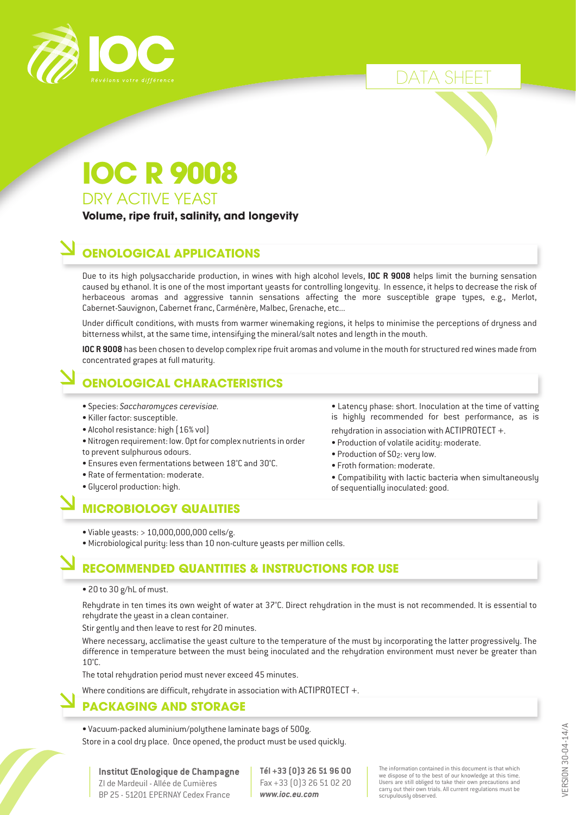

DATA SHEET

• Latency phase: short. Inoculation at the time of vatting is highly recommended for best performance, as is

• Compatibility with lactic bacteria when simultaneously

rehydration in association with ACTIPROTECT +. • Production of volatile acidity: moderate.

• Production of SO<sub>2</sub>: very low. • Froth formation: moderate.

of sequentially inoculated: good.

DRY ACTIVE YEAST **IOC R 9008**

**Volume, ripe fruit, salinity, and longevity**

## **OENOLOGICAL APPLICATIONS**

Due to its high polysaccharide production, in wines with high alcohol levels, **IOC R 9008** helps limit the burning sensation caused by ethanol. It is one of the most important yeasts for controlling longevity. In essence, it helps to decrease the risk of herbaceous aromas and aggressive tannin sensations affecting the more susceptible grape types, e.g., Merlot, Cabernet-Sauvignon, Cabernet franc, Carménère, Malbec, Grenache, etc...

Under difficult conditions, with musts from warmer winemaking regions, it helps to minimise the perceptions of dryness and bitterness whilst, at the same time, intensifying the mineral/salt notes and length in the mouth.

**IOC R 9008** has been chosen to develop complex ripe fruit aromas and volume in the mouth for structured red wines made from concentrated grapes at full maturity.

### **OENOLOGICAL CHARACTERISTICS**

- Species: *Saccharomyces cerevisiae.*
- Killer factor: susceptible.
- Alcohol resistance: high (16% vol)
- Nitrogen requirement: low. Opt for complex nutrients in order to prevent sulphurous odours.
- Ensures even fermentations between 18°C and 30°C.
- Rate of fermentation: moderate.
- Glycerol production: high.

## **MICROBIOLOGY QUALITIES**

- Viable yeasts: > 10,000,000,000 cells/g.
- Microbiological purity: less than 10 non-culture yeasts per million cells.

#### **RECOMMENDED QUANTITIES & INSTRUCTIONS FOR USE**

• 20 to 30 g/hL of must.

Rehydrate in ten times its own weight of water at 37°C. Direct rehydration in the must is not recommended. It is essential to rehydrate the yeast in a clean container.

Stir gently and then leave to rest for 20 minutes.

Where necessary, acclimatise the yeast culture to the temperature of the must by incorporating the latter progressively. The difference in temperature between the must being inoculated and the rehydration environment must never be greater than 10°C.

The total rehydration period must never exceed 45 minutes.

Where conditions are difficult, rehydrate in association with ACTIPROTECT +.

#### **PACKAGING AND STORAGE**

• Vacuum-packed aluminium/polythene laminate bags of 500g. Store in a cool dry place. Once opened, the product must be used quickly.

**Institut Œnologique de Champagne** ZI de Mardeuil - Allée de Cumières BP 25 - 51201 EPERNAY Cedex France

**Tél +33 (0)3 26 51 96 00** Fax +33 (0)3 26 51 02 20 *www.ioc.eu.com*

The information contained in this document is that which we dispose of to the best of our knowledge at this time. Users are still obliged to take their own precautions and carry out their own trials. All current regulations must be scrupulously observed.